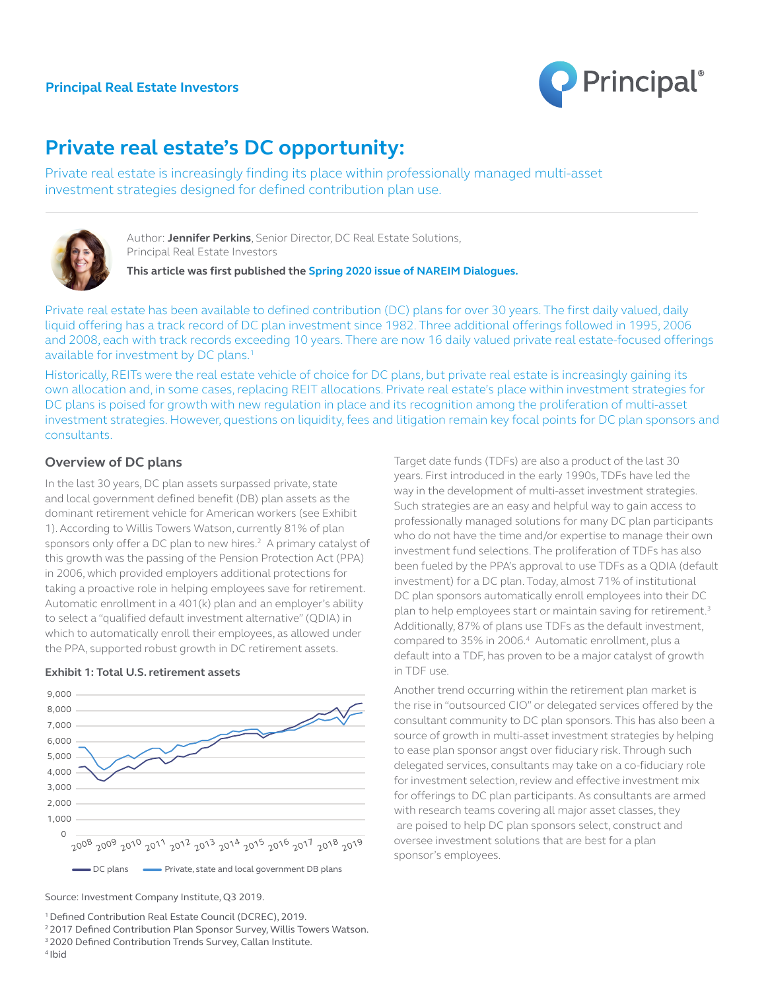

# **Private real estate's DC opportunity:**

Private real estate is increasingly finding its place within professionally managed multi-asset investment strategies designed for defined contribution plan use.



Author: **Jennifer Perkins**, Senior Director, DC Real Estate Solutions, Principal Real Estate Investors

**This article was first published the [Spring 2020 issue of NAREIM Dialogues](https://b0d8eac5-4bf2-41a1-be3f-b8dcbbb87814.filesusr.com/ugd/579c7d_aa54dfb89e3a4d58983cfa184f8d04c3.pdf).**

Private real estate has been available to defined contribution (DC) plans for over 30 years. The first daily valued, daily liquid offering has a track record of DC plan investment since 1982. Three additional offerings followed in 1995, 2006 and 2008, each with track records exceeding 10 years. There are now 16 daily valued private real estate-focused offerings available for investment by DC plans.<sup>1</sup>

Historically, REITs were the real estate vehicle of choice for DC plans, but private real estate is increasingly gaining its own allocation and, in some cases, replacing REIT allocations. Private real estate's place within investment strategies for DC plans is poised for growth with new regulation in place and its recognition among the proliferation of multi-asset investment strategies. However, questions on liquidity, fees and litigation remain key focal points for DC plan sponsors and consultants.

# **Overview of DC plans**

In the last 30 years, DC plan assets surpassed private, state and local government defined benefit (DB) plan assets as the dominant retirement vehicle for American workers (see Exhibit 1). According to Willis Towers Watson, currently 81% of plan sponsors only offer a DC plan to new hires.<sup>2</sup> A primary catalyst of this growth was the passing of the Pension Protection Act (PPA) in 2006, which provided employers additional protections for taking a proactive role in helping employees save for retirement. Automatic enrollment in a 401(k) plan and an employer's ability to select a "qualified default investment alternative" (QDIA) in which to automatically enroll their employees, as allowed under the PPA, supported robust growth in DC retirement assets.



#### **Exhibit 1: Total U.S. retirement assets**

Source: Investment Company Institute, Q3 2019.

<sup>1</sup> Defined Contribution Real Estate Council (DCREC), 2019.

<sup>2</sup> 2017 Defined Contribution Plan Sponsor Survey, Willis Towers Watson.

<sup>3</sup> 2020 Defined Contribution Trends Survey, Callan Institute. 4 Ibid

Target date funds (TDFs) are also a product of the last 30 years. First introduced in the early 1990s, TDFs have led the way in the development of multi-asset investment strategies. Such strategies are an easy and helpful way to gain access to professionally managed solutions for many DC plan participants who do not have the time and/or expertise to manage their own investment fund selections. The proliferation of TDFs has also been fueled by the PPA's approval to use TDFs as a QDIA (default investment) for a DC plan. Today, almost 71% of institutional DC plan sponsors automatically enroll employees into their DC plan to help employees start or maintain saving for retirement.<sup>3</sup> Additionally, 87% of plans use TDFs as the default investment, compared to 35% in 2006.4 Automatic enrollment, plus a default into a TDF, has proven to be a major catalyst of growth in TDF use.

Another trend occurring within the retirement plan market is the rise in "outsourced CIO" or delegated services offered by the consultant community to DC plan sponsors. This has also been a source of growth in multi-asset investment strategies by helping to ease plan sponsor angst over fiduciary risk. Through such delegated services, consultants may take on a co-fiduciary role for investment selection, review and effective investment mix for offerings to DC plan participants. As consultants are armed with research teams covering all major asset classes, they are poised to help DC plan sponsors select, construct and oversee investment solutions that are best for a plan sponsor's employees.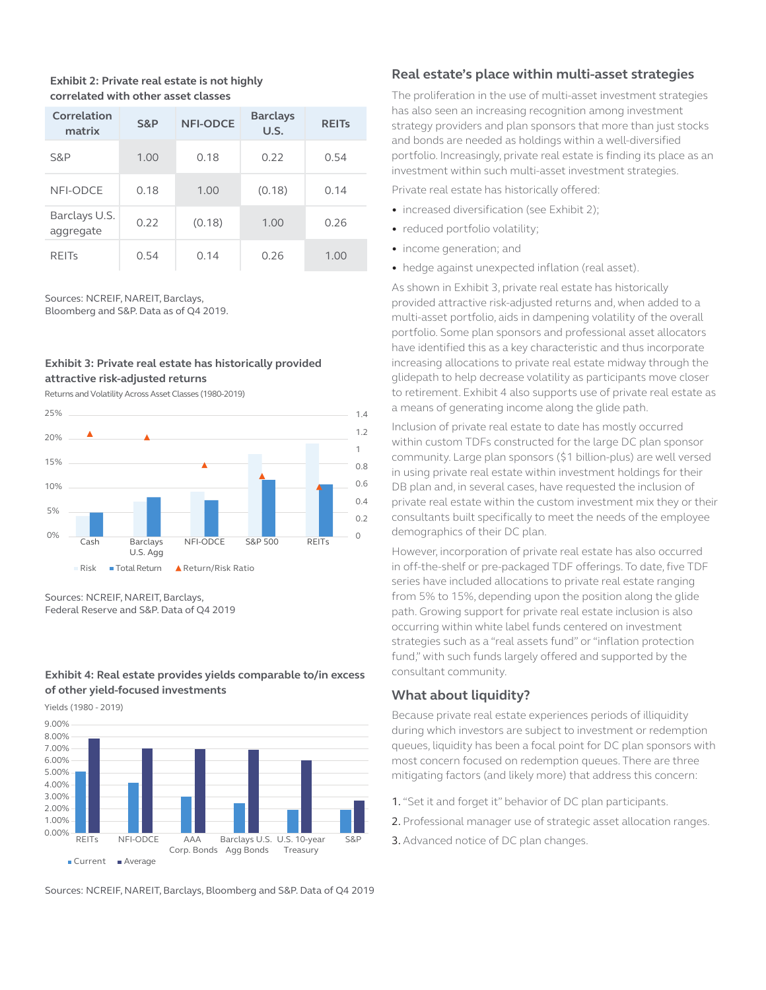#### **Exhibit 2: Private real estate is not highly correlated with other asset classes**

| Correlation<br>matrix      | S&P  | <b>NFI-ODCE</b> | <b>Barclays</b><br>U.S. | <b>REITs</b> |
|----------------------------|------|-----------------|-------------------------|--------------|
| S&P                        | 1.00 | 0.18            | 0.22                    | 0.54         |
| NFI-ODCE                   | 0.18 | 1.00            | (0.18)                  | 0.14         |
| Barclays U.S.<br>aggregate | 0.22 | (0.18)          | 1.00                    | 0.26         |
| <b>REITS</b>               | 0.54 | 0.14            | 0.26                    | 1.00         |

Sources: NCREIF, NAREIT, Barclays,

Bloomberg and S&P. Data as of Q4 2019.

## **Exhibit 3: Private real estate has historically provided attractive risk-adjusted returns**

Returns and Volatility Across Asset Classes (1980-2019)



Sources: NCREIF, NAREIT, Barclays, Federal Reserve and S&P. Data of Q4 2019

#### **Exhibit 4: Real estate provides yields comparable to/in excess of other yield-focused investments**

Yields (1980 - 2019)



Sources: NCREIF, NAREIT, Barclays, Bloomberg and S&P. Data of Q4 2019

# **Real estate's place within multi-asset strategies**

The proliferation in the use of multi-asset investment strategies has also seen an increasing recognition among investment strategy providers and plan sponsors that more than just stocks and bonds are needed as holdings within a well-diversified portfolio. Increasingly, private real estate is finding its place as an investment within such multi-asset investment strategies.

Private real estate has historically offered:

- increased diversification (see Exhibit 2);
- reduced portfolio volatility;
- income generation; and
- hedge against unexpected inflation (real asset).

As shown in Exhibit 3, private real estate has historically provided attractive risk-adjusted returns and, when added to a multi-asset portfolio, aids in dampening volatility of the overall portfolio. Some plan sponsors and professional asset allocators have identified this as a key characteristic and thus incorporate increasing allocations to private real estate midway through the glidepath to help decrease volatility as participants move closer to retirement. Exhibit 4 also supports use of private real estate as a means of generating income along the glide path.

Inclusion of private real estate to date has mostly occurred within custom TDFs constructed for the large DC plan sponsor community. Large plan sponsors (\$1 billion-plus) are well versed in using private real estate within investment holdings for their DB plan and, in several cases, have requested the inclusion of private real estate within the custom investment mix they or their consultants built specifically to meet the needs of the employee demographics of their DC plan.

However, incorporation of private real estate has also occurred in off-the-shelf or pre-packaged TDF offerings. To date, five TDF series have included allocations to private real estate ranging from 5% to 15%, depending upon the position along the glide path. Growing support for private real estate inclusion is also occurring within white label funds centered on investment strategies such as a "real assets fund" or "inflation protection fund," with such funds largely offered and supported by the consultant community.

# **What about liquidity?**

Because private real estate experiences periods of illiquidity during which investors are subject to investment or redemption queues, liquidity has been a focal point for DC plan sponsors with most concern focused on redemption queues. There are three mitigating factors (and likely more) that address this concern:

- 1. "Set it and forget it" behavior of DC plan participants.
- 2. Professional manager use of strategic asset allocation ranges.
- 3. Advanced notice of DC plan changes.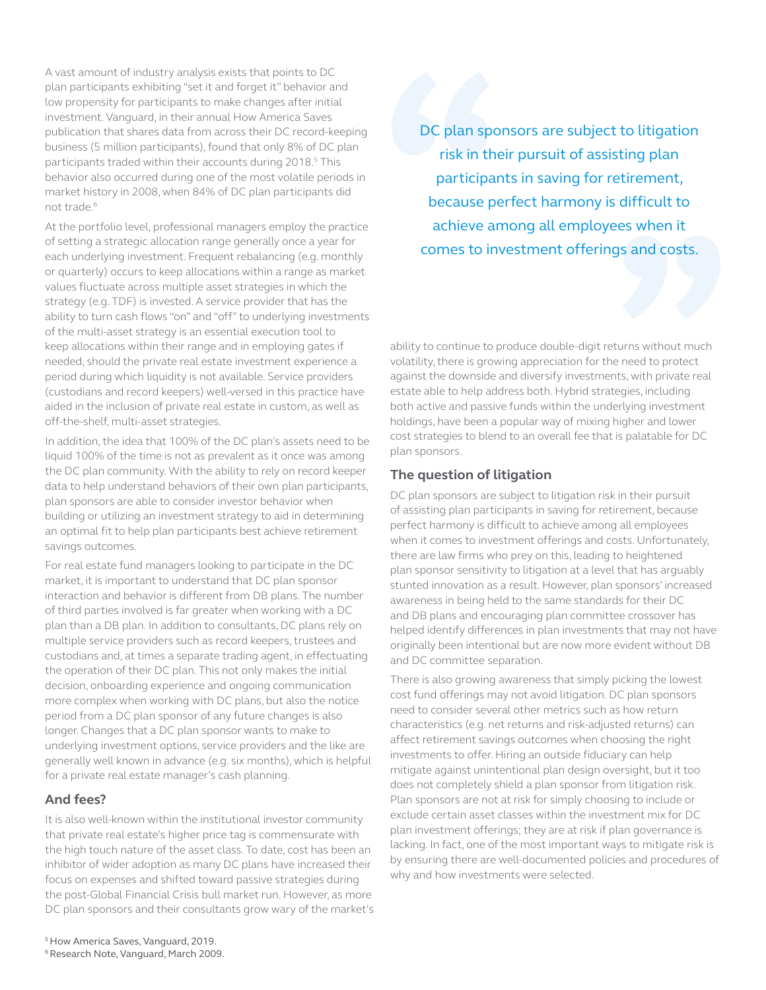A vast amount of industry analysis exists that points to DC plan participants exhibiting "set it and forget it" behavior and low propensity for participants to make changes after initial investment. Vanguard, in their annual How America Saves publication that shares data from across their DC record-keeping business (5 million participants), found that only 8% of DC plan participants traded within their accounts during 2018.<sup>5</sup> This behavior also occurred during one of the most volatile periods in market history in 2008, when 84% of DC plan participants did not trade.<sup>6</sup>

At the portfolio level, professional managers employ the practice of setting a strategic allocation range generally once a year for each underlying investment. Frequent rebalancing (e.g. monthly or quarterly) occurs to keep allocations within a range as market values fluctuate across multiple asset strategies in which the strategy (e.g. TDF) is invested. A service provider that has the ability to turn cash flows "on" and "off" to underlying investments of the multi-asset strategy is an essential execution tool to keep allocations within their range and in employing gates if needed, should the private real estate investment experience a period during which liquidity is not available. Service providers (custodians and record keepers) well-versed in this practice have aided in the inclusion of private real estate in custom, as well as off-the-shelf, multi-asset strategies.

In addition, the idea that 100% of the DC plan's assets need to be liquid 100% of the time is not as prevalent as it once was among the DC plan community. With the ability to rely on record keeper data to help understand behaviors of their own plan participants, plan sponsors are able to consider investor behavior when building or utilizing an investment strategy to aid in determining an optimal fit to help plan participants best achieve retirement savings outcomes.

For real estate fund managers looking to participate in the DC market, it is important to understand that DC plan sponsor interaction and behavior is different from DB plans. The number of third parties involved is far greater when working with a DC plan than a DB plan. In addition to consultants, DC plans rely on multiple service providers such as record keepers, trustees and custodians and, at times a separate trading agent, in effectuating the operation of their DC plan. This not only makes the initial decision, onboarding experience and ongoing communication more complex when working with DC plans, but also the notice period from a DC plan sponsor of any future changes is also longer. Changes that a DC plan sponsor wants to make to underlying investment options, service providers and the like are generally well known in advance (e.g. six months), which is helpful for a private real estate manager's cash planning.

## **And fees?**

It is also well-known within the institutional investor community that private real estate's higher price tag is commensurate with the high touch nature of the asset class. To date, cost has been an inhibitor of wider adoption as many DC plans have increased their focus on expenses and shifted toward passive strategies during the post-Global Financial Crisis bull market run. However, as more DC plan sponsors and their consultants grow wary of the market's DC plan sponsors are subject to litigation risk in their pursuit of assisting plan participants in saving for retirement, because perfect harmony is difficult to achieve among all employees when it comes to investment offerings and costs.

ability to continue to produce double-digit returns without much volatility, there is growing appreciation for the need to protect against the downside and diversify investments, with private real estate able to help address both. Hybrid strategies, including both active and passive funds within the underlying investment holdings, have been a popular way of mixing higher and lower cost strategies to blend to an overall fee that is palatable for DC plan sponsors.

#### **The question of litigation**

DC plan sponsors are subject to litigation risk in their pursuit of assisting plan participants in saving for retirement, because perfect harmony is difficult to achieve among all employees when it comes to investment offerings and costs. Unfortunately, there are law firms who prey on this, leading to heightened plan sponsor sensitivity to litigation at a level that has arguably stunted innovation as a result. However, plan sponsors' increased awareness in being held to the same standards for their DC and DB plans and encouraging plan committee crossover has helped identify differences in plan investments that may not have originally been intentional but are now more evident without DB and DC committee separation.

There is also growing awareness that simply picking the lowest cost fund offerings may not avoid litigation. DC plan sponsors need to consider several other metrics such as how return characteristics (e.g. net returns and risk-adjusted returns) can affect retirement savings outcomes when choosing the right investments to offer. Hiring an outside fiduciary can help mitigate against unintentional plan design oversight, but it too does not completely shield a plan sponsor from litigation risk. Plan sponsors are not at risk for simply choosing to include or exclude certain asset classes within the investment mix for DC plan investment offerings; they are at risk if plan governance is lacking. In fact, one of the most important ways to mitigate risk is by ensuring there are well-documented policies and procedures of why and how investments were selected.